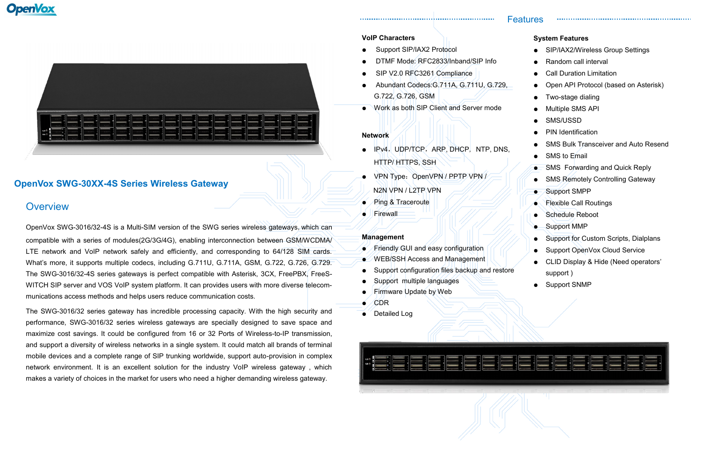

# **OpenVox SWG-30XX-4S Series Wireless Gateway**

## **Overview**

OpenVox SWG-3016/32-4S is a Multi-SIM version of the SWG series wireless gateways,which can compatible with a series of modules(2G/3G/4G), enabling interconnection between GSM/WCDMA/ LTE network and VoIP network safely and efficiently, and corresponding to 64/128 SIM cards. What's more, it supports multiple codecs, including G.711U, G.711A, GSM, G.722, G.726, G.729. The SWG-3016/32-4S series gateways is perfect compatible with Asterisk, 3CX, FreePBX, FreeS-WITCH SIP server and VOS VoIP system platform. It can provides users with more diverse telecommunications access methods and helps users reduce communication costs.

The SWG-3016/32 series gateway has incredible processing capacity. With the high security and performance, SWG-3016/32 series wireless gateways are specially designed to save space and maximize cost savings. It could be configured from 16 or 32 Ports of Wireless-to-IP transmission, and support a diversity of wireless networks in a single system. It could match all brands of terminal mobile devices and a complete range of SIP trunking worldwide, support auto-provision in complex network environment. It is an excellent solution for the industry VoIP wireless gateway , which makes a variety of choices in the market for users who need a higher demanding wireless gateway.

- IPv4,UDP/TCP,ARP, DHCP, NTP, DNS, HTTP/ HTTPS, SSH
- VPN Type: OpenVPN / PPTP VPN / N2N VPN / L2TP VPN
- Ping & Traceroute
- Firewall

- Friendly GUI and easy configuration
- $\sqrt{}$  WEB/SSH Access and Management
- Support configuration files backup and restore
- Support multiple languages
- **Firmware Update by Web**
- CDR
- Detailed Log



## Features

### **System Features**

- SIP/IAX2/Wireless Group Settings
- Random call interval
- **Call Duration Limitation**
- Open API Protocol (based on Asterisk)

- Two-stage dialing
- **Multiple SMS API**
- SMS/USSD
- PIN Identification
- **SMS Bulk Transceiver and Auto Resend**
- SMS to Email
- **SMS Forwarding and Quick Reply**
- **SMS Remotely Controlling Gateway**
- Support SMPP
- **Flexible Call Routings**
- **Schedule Reboot**
- Support MMP
- Support for Custom Scripts, Dialplans
- Support OpenVox Cloud Service
- CLID Display & Hide (Need operators' support )
- **Support SNMP**

#### **VoIP Characters**

- Support SIP/IAX2 Protocol
- DTMF Mode: RFC2833/Inband/SIP Info

- SIP V2.0 RFC3261 Compliance
- Abundant Codecs:G.711A, G.711U, G.729, G.722, G.726, GSM
- Work as both SIP Client and Server mode

#### **Network**

#### **Management**